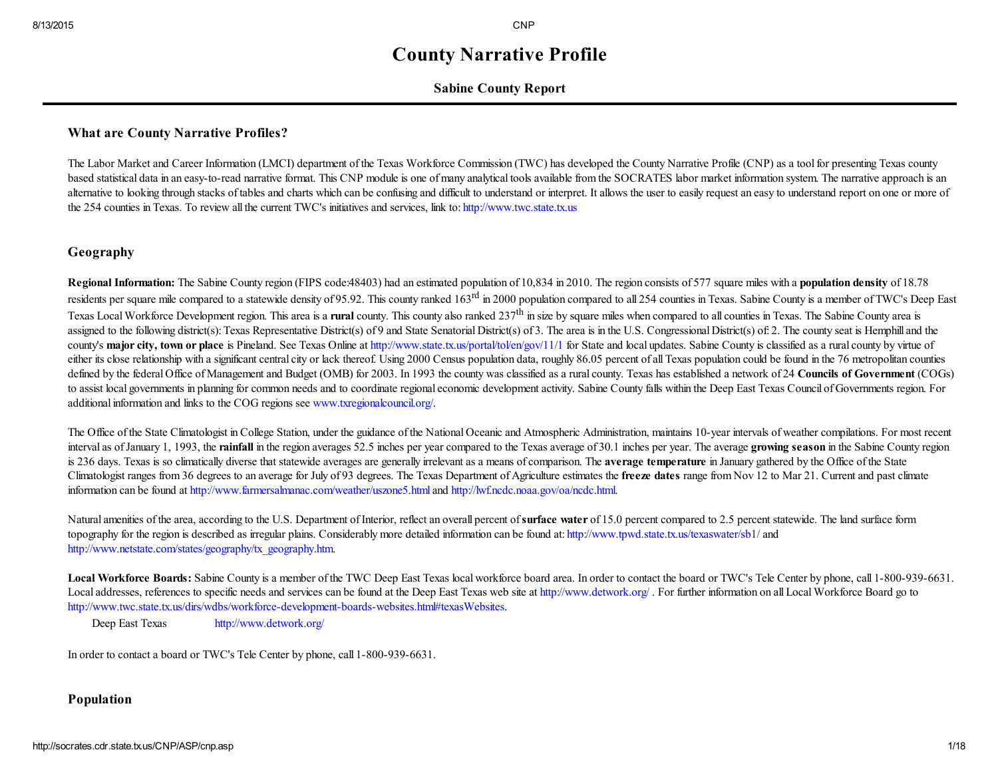# County Narrative Profile

## Sabine County Report

## What are County Narrative Profiles?

The Labor Market and Career Information (LMCI) department of the Texas Workforce Commission (TWC) has developed the County Narrative Profile (CNP) as a toolfor presenting Texas county based statistical data in an easy-to-read narrative format. This CNP module is one of many analytical tools available from the SOCRATES labor market information system. The narrative approach is an alternative to looking through stacks of tables and charts which can be confusing and difficult to understand or interpret. It allows the user to easily request an easy to understand report on one or more of the 254 counties in Texas. To review all the current TWC's initiatives and services, link to: [http://www.twc.state.tx.us](http://www.twc.state.tx.us/)

# Geography

Regional Information: The Sabine County region (FIPS code:48403) had an estimated population of 10,834 in 2010. The region consists of 577 square miles with a population density of 18.78 residents per square mile compared to a statewide density of 95.92. This county ranked 163<sup>rd</sup> in 2000 population compared to all 254 counties in Texas. Sabine County is a member of TWC's Deep East Texas Local Workforce Development region. This area is a rural county. This county also ranked 237<sup>th</sup> in size by square miles when compared to all counties in Texas. The Sabine County area is assigned to the following district(s): Texas Representative District(s) of 9 and State Senatorial District(s) of 3. The area is in the U.S. Congressional District(s) of: 2. The county seat is Hemphill and the county's major city, town or place is Pineland. See Texas Online at <http://www.state.tx.us/portal/tol/en/gov/11/1> for State and local updates. Sabine County is classified as a rural county by virtue of either its close relationship with a significant central city or lack thereof. Using 2000 Census population data, roughly 86.05 percent of all Texas population could be found in the 76 metropolitan counties defined by the federal Office of Management and Budget (OMB) for 2003. In 1993 the county was classified as a rural county. Texas has established a network of 24 Councils of Government (COGs) to assist local governments in planning for common needs and to coordinate regional economic development activity. Sabine County falls within the Deep East Texas Council of Governments region. For additional information and links to the COG regions see [www.txregionalcouncil.org/.](http://www.txregionalcouncil.org/)

The Office of the State Climatologist in College Station, under the guidance of the National Oceanic and Atmospheric Administration, maintains 10-year intervals of weather compilations. For most recent interval as of January 1, 1993, the rainfall in the region averages 52.5 inches per year compared to the Texas average of 30.1 inches per year. The average growing season in the Sabine County region is 236 days. Texas is so climatically diverse that statewide averages are generally irrelevant as a means of comparison. The **average temperature** in January gathered by the Office of the State Climatologist ranges from 36 degrees to an average for July of 93 degrees. The Texas Department of Agriculture estimates the freeze dates range from Nov 12 to Mar 21. Current and past climate information can be found at <http://www.farmersalmanac.com/weather/uszone5.html> and <http://lwf.ncdc.noaa.gov/oa/ncdc.html>.

Natural amenities of the area, according to the U.S. Department of Interior, reflect an overall percent of surface water of 15.0 percent compared to 2.5 percent statewide. The land surface form topography for the region is described as irregular plains. Considerably more detailed information can be found at: <http://www.tpwd.state.tx.us/texaswater/sb1/> and [http://www.netstate.com/states/geography/tx\\_geography.htm](http://www.netstate.com/states/geography/tx_geography.htm).

Local Workforce Boards: Sabine County is a member of the TWC Deep East Texas local workforce board area. In order to contact the board or TWC's Tele Center by phone, call 1-800-939-6631. Local addresses, references to specific needs and services can be found at the Deep East Texas web site at <http://www.detwork.org/>. For further information on all Local Workforce Board go to http://www.twc.state.tx.us/dirs/wdbs/workforce-development-boards-websites.html#texasWebsites.

Deep East Texas <http://www.detwork.org/>

In order to contact a board or TWC's Tele Center by phone, call 1-800-939-6631.

## Population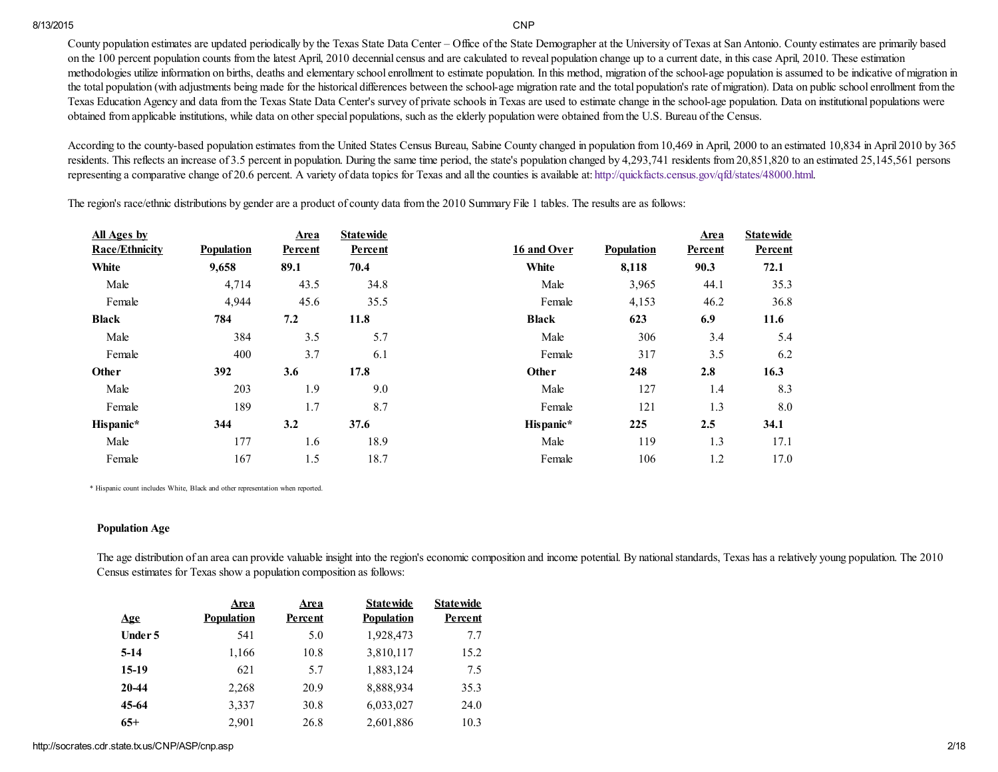County population estimates are updated periodically by the Texas State Data Center – Office of the State Demographer at the University of Texas at San Antonio. County estimates are primarily based on the 100 percent population counts from the latest April, 2010 decennial census and are calculated to reveal population change up to a current date, in this case April, 2010. These estimation methodologies utilize information on births, deaths and elementary school enrollment to estimate population. In this method, migration of the schoolage population is assumed to be indicative of migration in the total population (with adjustments being made for the historical differences between the school-age migration rate and the total population's rate of migration). Data on public school enrollment from the Texas Education Agency and data from the Texas State Data Center's survey of private schools in Texas are used to estimate change in the schoolage population. Data on institutional populations were obtained from applicable institutions, while data on other special populations, such as the elderly population were obtained from the U.S. Bureau of the Census.

According to the county-based population estimates from the United States Census Bureau, Sabine County changed in population from 10,469 in April, 2000 to an estimated 10,834 in April 2010 by 365 residents. This reflects an increase of 3.5 percent in population. During the same time period, the state's population changed by 4,293,741 residents from 20,851,820 to an estimated 25,145,561 persons representing a comparative change of 20.6 percent. A variety of data topics for Texas and all the counties is available at: <http://quickfacts.census.gov/qfd/states/48000.html>.

| All Ages by           |                   | Area           | <b>Statewide</b> |              |                   | Area    | <b>Statewide</b> |
|-----------------------|-------------------|----------------|------------------|--------------|-------------------|---------|------------------|
| <b>Race/Ethnicity</b> | <b>Population</b> | <b>Percent</b> | Percent          | 16 and Over  | <b>Population</b> | Percent | Percent          |
| White                 | 9,658             | 89.1           | 70.4             | White        | 8,118             | 90.3    | 72.1             |
| Male                  | 4,714             | 43.5           | 34.8             | Male         | 3,965             | 44.1    | 35.3             |
| Female                | 4,944             | 45.6           | 35.5             | Female       | 4,153             | 46.2    | 36.8             |
| <b>Black</b>          | 784               | 7.2            | 11.8             | <b>Black</b> | 623               | 6.9     | 11.6             |
| Male                  | 384               | 3.5            | 5.7              | Male         | 306               | 3.4     | 5.4              |
| Female                | 400               | 3.7            | 6.1              | Female       | 317               | 3.5     | 6.2              |
| Other                 | 392               | 3.6            | 17.8             | Other        | 248               | 2.8     | 16.3             |
| Male                  | 203               | 1.9            | 9.0              | Male         | 127               | 1.4     | 8.3              |
| Female                | 189               | 1.7            | 8.7              | Female       | 121               | 1.3     | 8.0              |
| Hispanic*             | 344               | 3.2            | 37.6             | Hispanic*    | 225               | 2.5     | 34.1             |
| Male                  | 177               | 1.6            | 18.9             | Male         | 119               | 1.3     | 17.1             |
| Female                | 167               | 1.5            | 18.7             | Female       | 106               | 1.2     | 17.0             |

The region's race/ethnic distributions by gender are a product of county data from the 2010 Summary File 1 tables. The results are as follows:

\* Hispanic count includes White, Black and other representation when reported.

### Population Age

The age distribution of an area can provide valuable insight into the region's economic composition and income potential. By national standards, Texas has a relatively young population. The 2010 Census estimates for Texas show a population composition as follows:

| <b>Age</b> | Area<br><b>Population</b> | Area<br>Percent | <b>Statewide</b><br><b>Population</b> | <b>Statewide</b><br>Percent |
|------------|---------------------------|-----------------|---------------------------------------|-----------------------------|
|            |                           |                 |                                       |                             |
| Under 5    | 541                       | 5.0             | 1,928,473                             | 7.7                         |
| $5-14$     | 1,166                     | 10.8            | 3,810,117                             | 15.2                        |
| $15-19$    | 621                       | 5.7             | 1,883,124                             | 7.5                         |
| 20-44      | 2,268                     | 20.9            | 8,888,934                             | 35.3                        |
| 45-64      | 3,337                     | 30.8            | 6,033,027                             | 24.0                        |
| $65+$      | 2.901                     | 26.8            | 2,601,886                             | 10.3                        |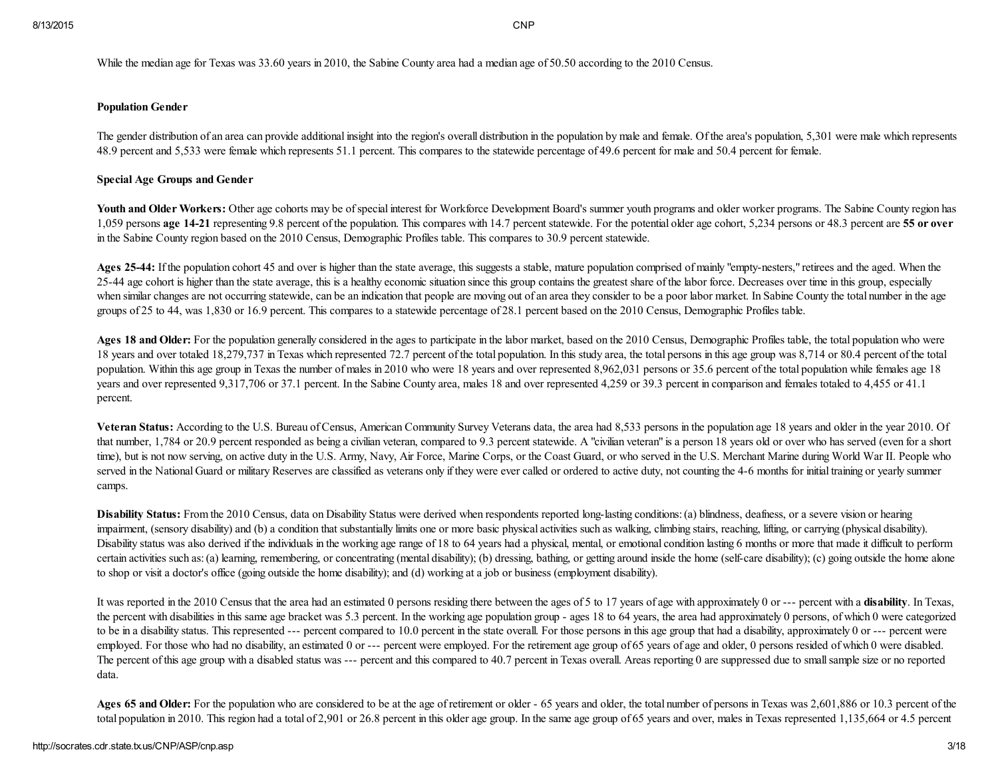While the median age for Texas was 33.60 years in 2010, the Sabine County area had a median age of 50.50 according to the 2010 Census.

### Population Gender

The gender distribution of an area can provide additional insight into the region's overall distribution in the population by male and female. Of the area's population, 5,301 were male which represents 48.9 percent and 5,533 were female which represents 51.1 percent. This compares to the statewide percentage of 49.6 percent for male and 50.4 percent for female.

### Special Age Groups and Gender

Youth and Older Workers: Other age cohorts may be of special interest for Workforce Development Board's summer youth programs and older worker programs. The Sabine County region has 1,059 persons age 14-21 representing 9.8 percent of the population. This compares with 14.7 percent statewide. For the potential older age cohort, 5,234 persons or 48.3 percent are 55 or over in the Sabine County region based on the 2010 Census, Demographic Profiles table. This compares to 30.9 percent statewide.

Ages 25-44: If the population cohort 45 and over is higher than the state average, this suggests a stable, mature population comprised of mainly "empty-nesters," retirees and the aged. When the 25-44 age cohort is higher than the state average, this is a healthy economic situation since this group contains the greatest share of the labor force. Decreases over time in this group, especially when similar changes are not occurring statewide, can be an indication that people are moving out of an area they consider to be a poor labor market. In Sabine County the total number in the age groups of 25 to 44, was 1,830 or 16.9 percent. This compares to a statewide percentage of 28.1 percent based on the 2010 Census, Demographic Profiles table.

Ages 18 and Older: For the population generally considered in the ages to participate in the labor market, based on the 2010 Census, Demographic Profiles table, the total population who were 18 years and over totaled 18,279,737 in Texas which represented 72.7 percent of the total population. In this study area, the total persons in this age group was 8,714 or 80.4 percent of the total population. Within this age group in Texas the number of males in 2010 who were 18 years and over represented 8,962,031 persons or 35.6 percent of the total population while females age 18 years and over represented 9,317,706 or 37.1 percent. In the Sabine County area, males 18 and over represented 4,259 or 39.3 percent in comparison and females totaled to 4,455 or 41.1 percent.

Veteran Status: According to the U.S. Bureau of Census, American Community Survey Veterans data, the area had 8,533 persons in the population age 18 years and older in the year 2010. Of that number, 1,784 or 20.9 percent responded as being a civilian veteran, compared to 9.3 percent statewide. A "civilian veteran" is a person 18 years old or over who has served (even for a short time), but is not now serving, on active duty in the U.S. Army, Navy, Air Force, Marine Corps, or the Coast Guard, or who served in the U.S. Merchant Marine during World War II. People who served in the National Guard or military Reserves are classified as veterans only if they were ever called or ordered to active duty, not counting the 4-6 months for initial training or yearly summer camps.

Disability Status: From the 2010 Census, data on Disability Status were derived when respondents reported long-lasting conditions: (a) blindness, deafness, or a severe vision or hearing impairment, (sensory disability) and (b) a condition that substantially limits one or more basic physical activities such as walking, climbing stairs, reaching, lifting, or carrying (physical disability). Disability status was also derived if the individuals in the working age range of 18 to 64 years had a physical, mental, or emotional condition lasting 6 months or more that made it difficult to perform certain activities such as: (a) learning, remembering, or concentrating (mental disability); (b) dressing, bathing, or getting around inside the home (self-care disability); (c) going outside the home alone to shop or visit a doctor's office (going outside the home disability); and (d) working at a job or business (employment disability).

It was reported in the 2010 Census that the area had an estimated 0 persons residing there between the ages of 5 to 17 years of age with approximately 0 or --- percent with a disability. In Texas, the percent with disabilities in this same age bracket was 5.3 percent. In the working age population group - ages 18 to 64 years, the area had approximately 0 persons, of which 0 were categorized to be in a disability status. This represented --- percent compared to 10.0 percent in the state overall. For those persons in this age group that had a disability, approximately 0 or --- percent were employed. For those who had no disability, an estimated 0 or --- percent were employed. For the retirement age group of 65 years of age and older, 0 persons resided of which 0 were disabled. The percent of this age group with a disabled status was --- percent and this compared to 40.7 percent in Texas overall. Areas reporting 0 are suppressed due to small sample size or no reported data.

Ages 65 and Older: For the population who are considered to be at the age of retirement or older - 65 years and older, the total number of persons in Texas was 2,601,886 or 10.3 percent of the total population in 2010. This region had a total of 2,901 or 26.8 percent in this older age group. In the same age group of 65 years and over, males in Texas represented 1,135,664 or 4.5 percent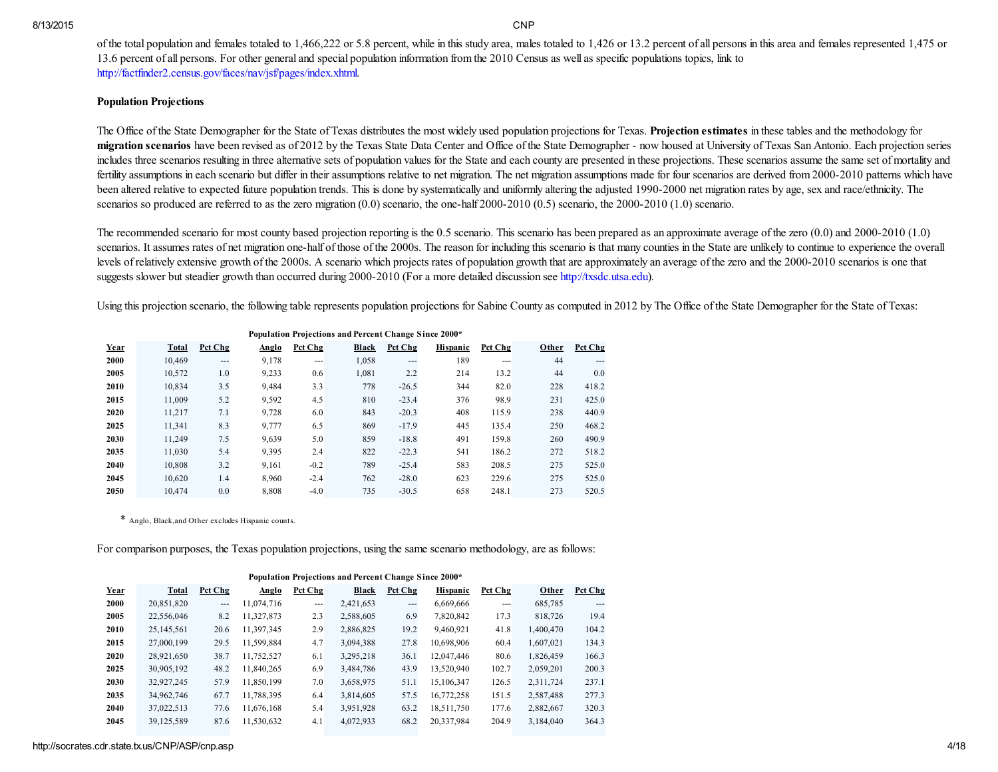of the total population and females totaled to 1,466,222 or 5.8 percent, while in this study area, males totaled to 1,426 or 13.2 percent of all persons in this area and females represented 1,475 or 13.6 percent of all persons. For other general and special population information from the 2010 Census as well as specific populations topics, link to <http://factfinder2.census.gov/faces/nav/jsf/pages/index.xhtml>.

### Population Projections

The Office of the State Demographer for the State of Texas distributes the most widely used population projections for Texas. Projection estimates in these tables and the methodology for migration scenarios have been revised as of 2012 by the Texas State Data Center and Office of the State Demographer - now housed at University of Texas San Antonio. Each projection series includes three scenarios resulting in three alternative sets of population values for the State and each county are presented in these projections. These scenarios assume the same set of mortality and fertility assumptions in each scenario but differ in their assumptions relative to net migration. The net migration assumptions made for four scenarios are derived from 2000-2010 patterns which have been altered relative to expected future population trends. This is done by systematically and uniformly altering the adjusted 1990-2000 net migration rates by age, sex and race/ethnicity. The scenarios so produced are referred to as the zero migration  $(0.0)$  scenario, the one-half 2000-2010  $(0.5)$  scenario, the 2000-2010  $(1.0)$  scenario.

The recommended scenario for most county based projection reporting is the 0.5 scenario. This scenario has been prepared as an approximate average of the zero (0.0) and 2000-2010 (1.0) scenarios. It assumes rates of net migration one-half of those of the 2000s. The reason for including this scenario is that many counties in the State are unlikely to continue to experience the overall levels of relatively extensive growth of the 2000s. A scenario which projects rates of population growth that are approximately an average of the zero and the 20002010 scenarios is one that suggests slower but steadier growth than occurred during 2000-2010 (For a more detailed discussion see [http://txsdc.utsa.edu](http://txsdc.utsa.edu/)).

Using this projection scenario, the following table represents population projections for Sabine County as computed in 2012 by The Office of the State Demographer for the State of Texas:

| Toparation Trojections and Fereent Change Since 2000 |              |         |       |         |       |         |                 |               |       |         |
|------------------------------------------------------|--------------|---------|-------|---------|-------|---------|-----------------|---------------|-------|---------|
| Year                                                 | <b>Total</b> | Pct Chg | Anglo | Pct Chg | Black | Pct Chg | <b>Hispanic</b> | Pct Chg       | Other | Pct Chg |
| 2000                                                 | 10.469       | $---$   | 9,178 | ---     | 1,058 | $---$   | 189             | $\frac{1}{2}$ | 44    | ---     |
| 2005                                                 | 10.572       | 1.0     | 9,233 | 0.6     | 1,081 | 2.2     | 214             | 13.2          | 44    | 0.0     |
| 2010                                                 | 10.834       | 3.5     | 9.484 | 3.3     | 778   | $-26.5$ | 344             | 82.0          | 228   | 418.2   |
| 2015                                                 | 11.009       | 5.2     | 9,592 | 4.5     | 810   | $-23.4$ | 376             | 98.9          | 231   | 425.0   |
| 2020                                                 | 11.217       | 7.1     | 9.728 | 6.0     | 843   | $-20.3$ | 408             | 115.9         | 238   | 440.9   |
| 2025                                                 | 11.341       | 8.3     | 9.777 | 6.5     | 869   | $-17.9$ | 445             | 135.4         | 250   | 468.2   |
| 2030                                                 | 11.249       | 7.5     | 9,639 | 5.0     | 859   | $-18.8$ | 491             | 159.8         | 260   | 490.9   |
| 2035                                                 | 11.030       | 5.4     | 9,395 | 2.4     | 822   | $-22.3$ | 541             | 186.2         | 272   | 518.2   |
| 2040                                                 | 10.808       | 3.2     | 9,161 | $-0.2$  | 789   | $-25.4$ | 583             | 208.5         | 275   | 525.0   |
| 2045                                                 | 10.620       | 1.4     | 8,960 | $-2.4$  | 762   | $-28.0$ | 623             | 229.6         | 275   | 525.0   |
| 2050                                                 | 10.474       | 0.0     | 8,808 | $-4.0$  | 735   | $-30.5$ | 658             | 248.1         | 273   | 520.5   |

Population Projections and Percent Change Since 2000\*

\* Anglo, Black,and Other excludes Hispanic counts.

For comparison purposes, the Texas population projections, using the same scenario methodology, are as follows:

| Population Projections and Percent Change Since 2000* |              |         |            |         |           |         |                 |          |           |         |
|-------------------------------------------------------|--------------|---------|------------|---------|-----------|---------|-----------------|----------|-----------|---------|
| Year                                                  | <b>Total</b> | Pct Chg | Anglo      | Pct Chg | Black     | Pct Chg | <b>Hispanic</b> | Pct Chg  | Other     | Pct Chg |
| 2000                                                  | 20,851,820   | $---$   | 11,074,716 | ---     | 2,421,653 | $---$   | 6,669,666       | $\cdots$ | 685,785   | $---$   |
| 2005                                                  | 22,556,046   | 8.2     | 11,327,873 | 2.3     | 2,588,605 | 6.9     | 7,820,842       | 17.3     | 818,726   | 19.4    |
| 2010                                                  | 25,145,561   | 20.6    | 11.397.345 | 2.9     | 2,886,825 | 19.2    | 9,460,921       | 41.8     | 1,400,470 | 104.2   |
| 2015                                                  | 27,000,199   | 29.5    | 11,599,884 | 4.7     | 3,094,388 | 27.8    | 10,698,906      | 60.4     | 1,607,021 | 134.3   |
| 2020                                                  | 28,921,650   | 38.7    | 11,752,527 | 6.1     | 3,295,218 | 36.1    | 12.047.446      | 80.6     | 1,826,459 | 166.3   |
| 2025                                                  | 30.905.192   | 48.2    | 11.840.265 | 6.9     | 3,484,786 | 43.9    | 13.520.940      | 102.7    | 2,059,201 | 200.3   |
| 2030                                                  | 32,927,245   | 57.9    | 11,850,199 | 7.0     | 3,658,975 | 51.1    | 15,106,347      | 126.5    | 2,311,724 | 237.1   |
| 2035                                                  | 34,962,746   | 67.7    | 11,788,395 | 6.4     | 3,814,605 | 57.5    | 16,772,258      | 151.5    | 2,587,488 | 277.3   |
| 2040                                                  | 37,022,513   | 77.6    | 11,676,168 | 5.4     | 3,951,928 | 63.2    | 18,511,750      | 177.6    | 2,882,667 | 320.3   |
| 2045                                                  | 39,125,589   | 87.6    | 11,530,632 | 4.1     | 4,072,933 | 68.2    | 20,337,984      | 204.9    | 3,184,040 | 364.3   |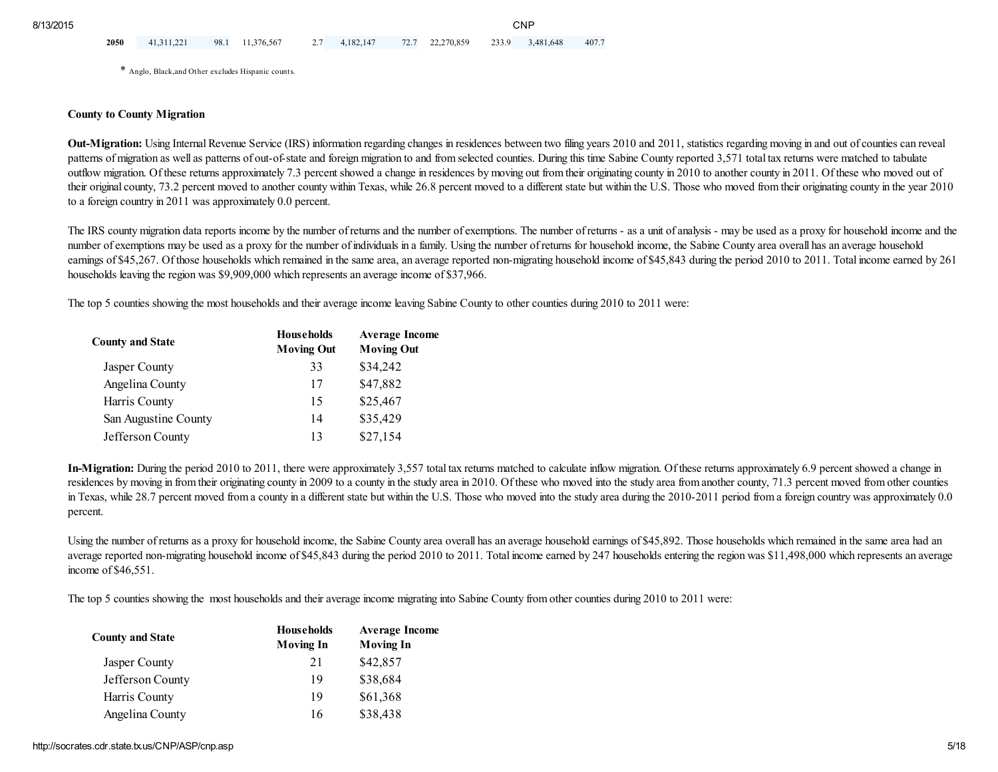2050 41,311,221 98.1 11,376,567 2.7 4,182,147 72.7 22,270,859 233.9 3,481,648 407.7

\* Anglo, Black,and Other excludes Hispanic counts.

#### County to County Migration

Out-Migration: Using Internal Revenue Service (IRS) information regarding changes in residences between two filing years 2010 and 2011, statistics regarding moving in and out of counties can reveal patterns of migration as well as patterns of out-of-state and foreign migration to and from selected counties. During this time Sabine County reported 3,571 total tax returns were matched to tabulate outflow migration. Of these returns approximately 7.3 percent showed a change in residences by moving out from their originating county in 2010 to another county in 2011. Of these who moved out of their original county, 73.2 percent moved to another county within Texas, while 26.8 percent moved to a different state but within the U.S. Those who moved from their originating county in the year 2010 to a foreign country in 2011 was approximately 0.0 percent.

The IRS county migration data reports income by the number of returns and the number of exemptions. The number of returns - as a unit of analysis - may be used as a proxy for household income and the number of exemptions may be used as a proxy for the number of individuals in a family. Using the number of returns for household income, the Sabine County area overall has an average household earnings of \$45,267. Of those households which remained in the same area, an average reported non-migrating household income of \$45,843 during the period 2010 to 2011. Total income earned by 261 households leaving the region was \$9,909,000 which represents an average income of \$37,966.

The top 5 counties showing the most households and their average income leaving Sabine County to other counties during 2010 to 2011 were:

| <b>County and State</b> | <b>Households</b><br><b>Moving Out</b> | <b>Average Income</b><br><b>Moving Out</b> |
|-------------------------|----------------------------------------|--------------------------------------------|
| Jasper County           | 33                                     | \$34,242                                   |
| Angelina County         | 17                                     | \$47,882                                   |
| Harris County           | 15                                     | \$25,467                                   |
| San Augustine County    | 14                                     | \$35,429                                   |
| Jefferson County        | 13                                     | \$27,154                                   |

In-Migration: During the period 2010 to 2011, there were approximately 3,557 total tax returns matched to calculate inflow migration. Of these returns approximately 6.9 percent showed a change in residences by moving in from their originating county in 2009 to a county in the study area in 2010. Of these who moved into the study area from another county, 71.3 percent moved from other counties in Texas, while 28.7 percent moved from a county in a different state but within the U.S. Those who moved into the study area during the 2010-2011 period from a foreign country was approximately 0.0 percent.

Using the number of returns as a proxy for household income, the Sabine County area overall has an average household earnings of \$45,892. Those households which remained in the same area had an average reported non-migrating household income of \$45,843 during the period 2010 to 2011. Total income earned by 247 households entering the region was \$11,498,000 which represents an average income of \$46,551.

The top 5 counties showing the most households and their average income migrating into Sabine County from other counties during 2010 to 2011 were:

| <b>County and State</b> | <b>Households</b><br><b>Moving In</b> | <b>Average Income</b><br><b>Moving In</b> |
|-------------------------|---------------------------------------|-------------------------------------------|
| Jasper County           | 21                                    | \$42,857                                  |
| Jefferson County        | 19                                    | \$38,684                                  |
| Harris County           | 19                                    | \$61,368                                  |
| Angelina County         | 16                                    | \$38,438                                  |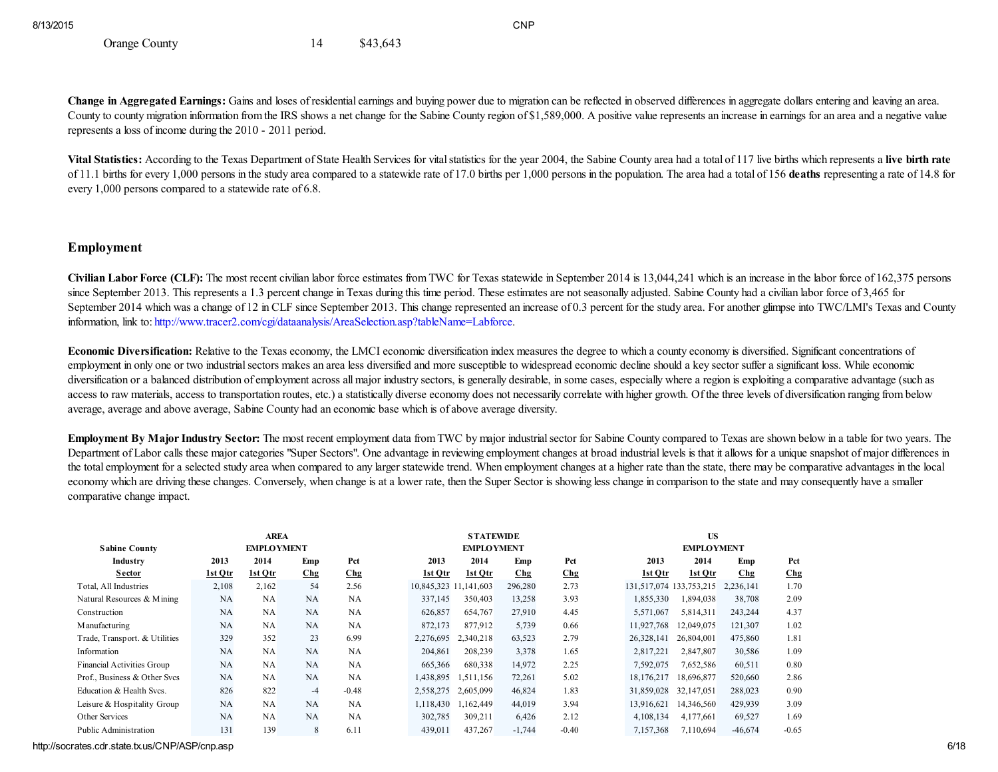Orange County 14 \$43,643

Change in Aggregated Earnings: Gains and loses of residential earnings and buying power due to migration can be reflected in observed differences in aggregate dollars entering and leaving an area. County to county migration information from the IRS shows a net change for the Sabine County region of \$1,589,000. A positive value represents an increase in earnings for an area and a negative value represents a loss of income during the 2010 - 2011 period.

Vital Statistics: According to the Texas Department of State Health Services for vital statistics for the year 2004, the Sabine County area had a total of 117 live births which represents a live birth rate of 11.1 births for every 1,000 persons in the study area compared to a statewide rate of 17.0 births per 1,000 persons in the population. The area had a total of 156 deaths representing a rate of 14.8 for every 1,000 persons compared to a statewide rate of 6.8.

## Employment

Civilian Labor Force (CLF): The most recent civilian labor force estimates from TWC for Texas statewide in September 2014 is 13,044,241 which is an increase in the labor force of 162,375 persons since September 2013. This represents a 1.3 percent change in Texas during this time period. These estimates are not seasonally adjusted. Sabine County had a civilian labor force of 3,465 for September 2014 which was a change of 12 in CLF since September 2013. This change represented an increase of 0.3 percent for the study area. For another glimpse into TWC/LMI's Texas and County information, link to: [http://www.tracer2.com/cgi/dataanalysis/AreaSelection.asp?tableName=Labforce.](http://www.tracer2.com/cgi/dataanalysis/AreaSelection.asp?tableName=Labforce)

Economic Diversification: Relative to the Texas economy, the LMCI economic diversification index measures the degree to which a county economy is diversified. Significant concentrations of employment in only one or two industrialsectors makes an area less diversified and more susceptible to widespread economic decline should a key sector suffer a significant loss. While economic diversification or a balanced distribution of employment across all major industry sectors, is generally desirable, in some cases, especially where a region is exploiting a comparative advantage (such as access to raw materials, access to transportation routes, etc.) a statistically diverse economy does not necessarily correlate with higher growth. Of the three levels of diversification ranging from below average, average and above average, Sabine County had an economic base which is of above average diversity.

Employment By Major Industry Sector: The most recent employment data from TWC by major industrial sector for Sabine County compared to Texas are shown below in a table for two years. The Department of Labor calls these major categories "Super Sectors". One advantage in reviewing employment changes at broad industrial levels is that it allows for a unique snapshot of major differences in the total employment for a selected study area when compared to any larger statewide trend. When employment changes at a higher rate than the state, there may be comparative advantages in the local economy which are driving these changes. Conversely, when change is at a lower rate, then the Super Sector is showing less change in comparison to the state and may consequently have a smaller comparative change impact.

| <b>Sabine County</b>              | <b>AREA</b><br><b>EMPLOYMENT</b> |           |        |         | <b>STATEWIDE</b><br><b>EMPLOYMENT</b> |           |                 |                 | <b>US</b><br><b>EMPLOYMENT</b> |                         |           |         |
|-----------------------------------|----------------------------------|-----------|--------|---------|---------------------------------------|-----------|-----------------|-----------------|--------------------------------|-------------------------|-----------|---------|
| Industry                          | 2013                             | 2014      | Emp    | Pct     | 2013                                  | 2014      | Emp             | Pct             | 2013                           | 2014                    | Emp       | Pct     |
| Sector                            | <u>1st Otr</u>                   | 1st Otr   | $C$ hg | Chg     | 1st Otr                               | 1st Otr   | C <sub>hg</sub> | C <sub>hg</sub> | 1st Otr                        | 1st Otr                 | $C$ hg    | Chg     |
| Total, All Industries             | 2,108                            | 2,162     | 54     | 2.56    | 10,845,323                            | 1,141,603 | 296,280         | 2.73            |                                | 131,517,074 133,753,215 | 2,236,141 | 1.70    |
| Natural Resources & Mining        | NA                               | NA        | NA     | NA      | 337,145                               | 350,403   | 13,258          | 3.93            | 1,855,330                      | 1,894,038               | 38,708    | 2.09    |
| Construction                      | NA                               | <b>NA</b> | NA     | NA      | 626,857                               | 654,767   | 27,910          | 4.45            | 5,571,067                      | 5,814,311               | 243,244   | 4.37    |
| M anufacturing                    | NA                               | NA        | NA     | NA      | 872,173                               | 877,912   | 5,739           | 0.66            | 11,927,768                     | 12,049,075              | 121,307   | 1.02    |
| Trade, Transport. & Utilities     | 329                              | 352       | 23     | 6.99    | 2,276,695                             | 2,340,218 | 63,523          | 2.79            | 26,328,141                     | 26,804,001              | 475,860   | 1.81    |
| Information                       | NA                               | NA        | NA     | NA      | 204,861                               | 208,239   | 3,378           | 1.65            | 2,817,221                      | 2,847,807               | 30,586    | 1.09    |
| <b>Financial Activities Group</b> | NA                               | NA        | NA     | NA      | 665,366                               | 680,338   | 14.972          | 2.25            | 7.592.075                      | 7,652,586               | 60,511    | 0.80    |
| Prof., Business & Other Svcs      | NA                               | NA        | NA     | NA      | 1,438,895                             | 1,511,156 | 72,261          | 5.02            | 18,176,217                     | 18,696,877              | 520,660   | 2.86    |
| Education & Health Svcs.          | 826                              | 822       | $-4$   | $-0.48$ | 2,558,275                             | 2.605.099 | 46,824          | 1.83            | 31,859,028                     | 32,147,051              | 288,023   | 0.90    |
| Leisure & Hospitality Group       | NA                               | NA        | NA     | NA      | 1.118.430                             | .162.449  | 44.019          | 3.94            | 13.916.621                     | 14,346,560              | 429.939   | 3.09    |
| Other Services                    | NA                               | NA        | NA     | NA      | 302,785                               | 309,211   | 6,426           | 2.12            | 4,108,134                      | 4,177,661               | 69,527    | 1.69    |
| Public Administration             | 131                              | 139       | 8      | 6.11    | 439,011                               | 437,267   | $-1,744$        | $-0.40$         | 7,157,368                      | 7,110,694               | $-46,674$ | $-0.65$ |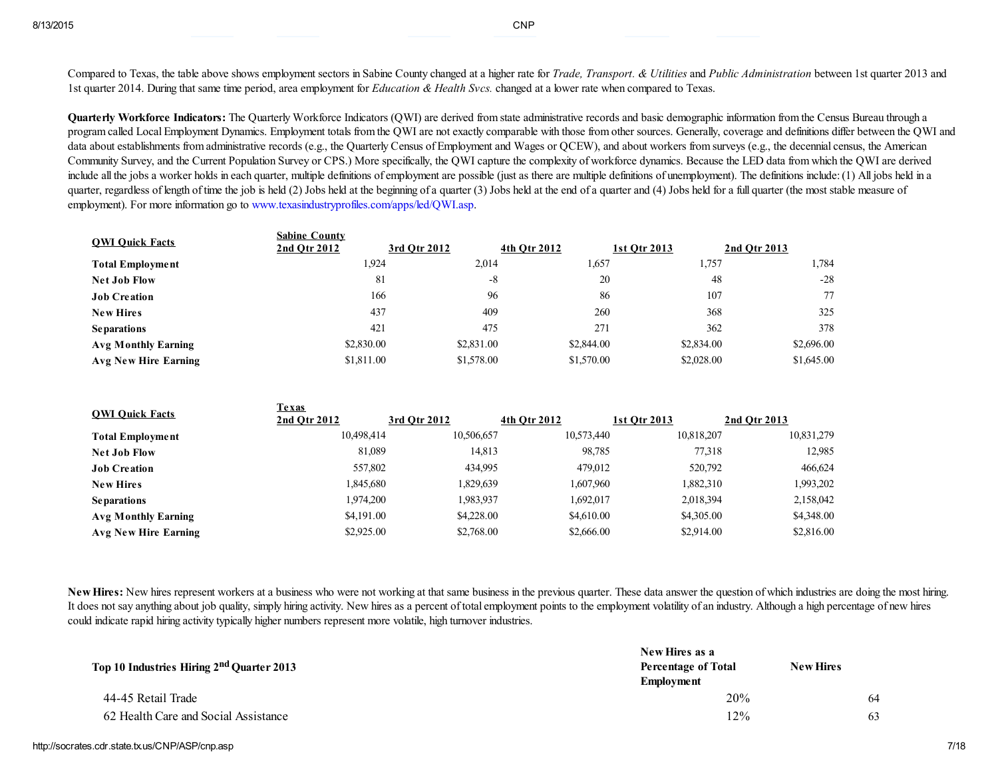Compared to Texas, the table above shows employment sectors in Sabine County changed at a higher rate for *Trade*, *Transport*. & Utilities and Public Administration between 1st quarter 2013 and 1st quarter 2014. During that same time period, area employment for *Education & Health Svcs*, changed at a lower rate when compared to Texas.

Quarterly Workforce Indicators: The Quarterly Workforce Indicators (QWI) are derived from state administrative records and basic demographic information from the Census Bureau through a program called Local Employment Dynamics. Employment totals from the QWI are not exactly comparable with those from other sources. Generally, coverage and definitions differ between the QWI and data about establishments from administrative records (e.g., the Quarterly Census of Employment and Wages or QCEW), and about workers from surveys (e.g., the decennial census, the American Community Survey, and the Current Population Survey or CPS.) More specifically, the QWI capture the complexity of workforce dynamics. Because the LED data from which the QWI are derived include all the jobs a worker holds in each quarter, multiple definitions of employment are possible (just as there are multiple definitions of unemployment). The definitions include:(1) All jobs held in a quarter, regardless of length of time the job is held (2) Jobs held at the beginning of a quarter (3) Jobs held at the end of a quarter and (4) Jobs held for a full quarter (the most stable measure of employment). For more information go to [www.texasindustryprofiles.com/apps/led/QWI.asp](http://www.texasindustryprofiles.com/apps/led/QWI.asp).

| <b>OWI Ouick Facts</b>     | <b>Sabine County</b><br>2nd Otr 2012 | 3rd Otr 2012 | 4th Otr 2012 | 1st Otr 2013 | 2nd Otr 2013 |
|----------------------------|--------------------------------------|--------------|--------------|--------------|--------------|
| <b>Total Employment</b>    | 1,924                                | 2,014        | 1.657        | 1,757        | .784         |
| <b>Net Job Flow</b>        | 81                                   | -8           | 20           | 48           | $-28$        |
| <b>Job Creation</b>        | 166                                  | 96           | 86           | 107          | 77           |
| <b>New Hires</b>           | 437                                  | 409          | 260          | 368          | 325          |
| <b>Separations</b>         | 421                                  | 475          | 271          | 362          | 378          |
| <b>Avg Monthly Earning</b> | \$2,830.00                           | \$2,831.00   | \$2,844.00   | \$2,834.00   | \$2,696.00   |
| Avg New Hire Earning       | \$1,811.00                           | \$1,578.00   | \$1,570.00   | \$2,028.00   | \$1,645.00   |

| <b>OWI Ouick Facts</b> | Texas<br>2nd Otr 2012 | 3rd Otr 2012 | 4th Otr 2012 | 1st Otr 2013 | 2nd Otr 2013 |
|------------------------|-----------------------|--------------|--------------|--------------|--------------|
| Total Employment       | 10,498,414            | 10,506,657   | 10,573,440   | 10,818,207   | 10,831,279   |
| <b>Net Job Flow</b>    | 81,089                | 14,813       | 98,785       | 77,318       | 12,985       |
| <b>Job Creation</b>    | 557,802               | 434,995      | 479,012      | 520,792      | 466,624      |
| <b>New Hires</b>       | 1,845,680             | 1,829,639    | 1,607,960    | 1,882,310    | 1,993,202    |
| <b>Separations</b>     | 1,974,200             | 1,983,937    | 1,692,017    | 2,018,394    | 2,158,042    |
| Avg Monthly Earning    | \$4,191,00            | \$4,228,00   | \$4,610.00   | \$4,305.00   | \$4,348.00   |
| Avg New Hire Earning   | \$2,925.00            | \$2,768.00   | \$2,666.00   | \$2,914.00   | \$2,816.00   |

New Hires: New hires represent workers at a business who were not working at that same business in the previous quarter. These data answer the question of which industries are doing the most hiring. It does not say anything about job quality, simply hiring activity. New hires as a percent of total employment points to the employment volatility of an industry. Although a high percentage of new hires could indicate rapid hiring activity typically higher numbers represent more volatile, high turnover industries.

|                                                       | New Hires as a             |                  |
|-------------------------------------------------------|----------------------------|------------------|
| Top 10 Industries Hiring 2 <sup>nd</sup> Quarter 2013 | <b>Percentage of Total</b> | <b>New Hires</b> |
|                                                       | <b>Employment</b>          |                  |
| 44-45 Retail Trade                                    | 20%                        | 64               |
| 62 Health Care and Social Assistance                  | $12\%$                     | 63               |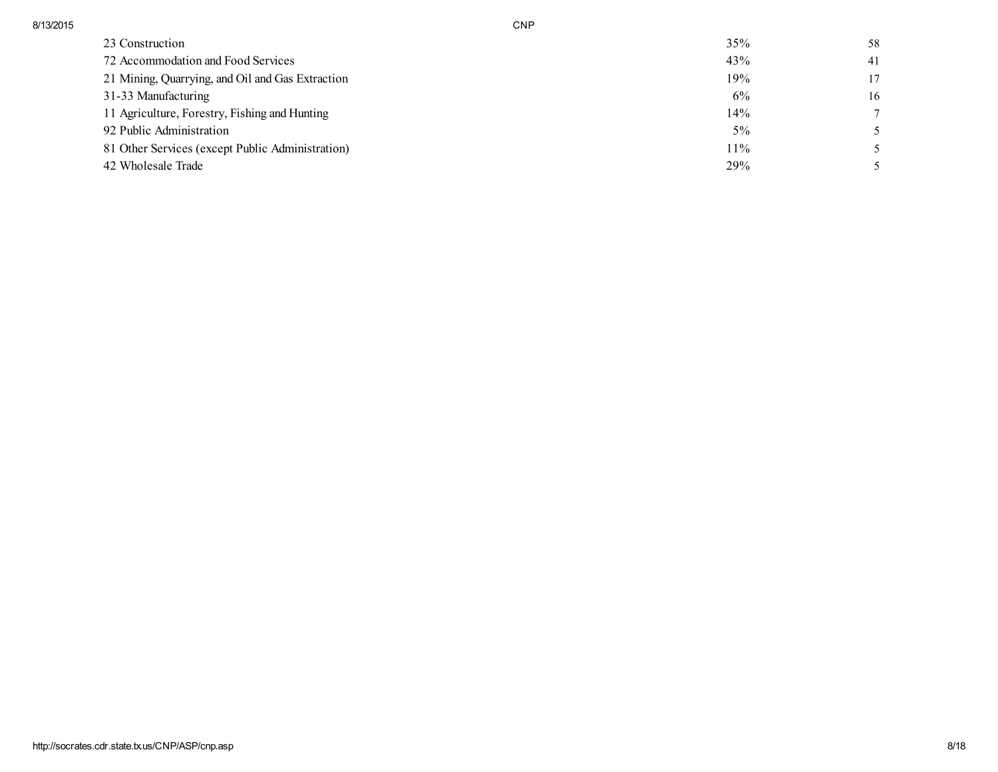| 8/13/2015 | CNP |
|-----------|-----|
|-----------|-----|

| 23 Construction                                  | 35%   | 58 |
|--------------------------------------------------|-------|----|
| 72 Accommodation and Food Services               | 43%   | 41 |
| 21 Mining, Quarrying, and Oil and Gas Extraction | 19%   | 17 |
| 31-33 Manufacturing                              | 6%    | 16 |
| 11 Agriculture, Forestry, Fishing and Hunting    | 14%   | 7  |
| 92 Public Administration                         | $5\%$ |    |
| 81 Other Services (except Public Administration) | 11%   |    |
| 42 Wholesale Trade                               | 29%   |    |
|                                                  |       |    |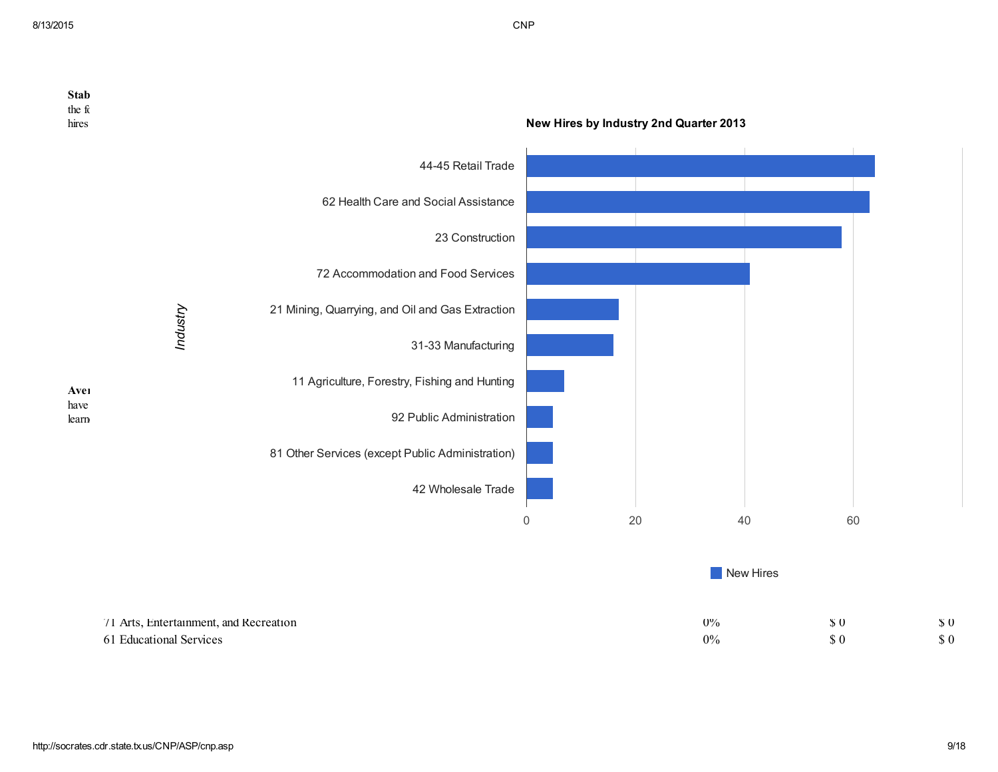| <b>Stab</b><br>the fc<br>hires |                                                                   |                                                  | New Hires by Industry 2nd Quarter 2013 |    |                |                                            |                       |
|--------------------------------|-------------------------------------------------------------------|--------------------------------------------------|----------------------------------------|----|----------------|--------------------------------------------|-----------------------|
|                                |                                                                   | 44-45 Retail Trade                               |                                        |    |                |                                            |                       |
|                                |                                                                   | 62 Health Care and Social Assistance             |                                        |    |                |                                            |                       |
|                                |                                                                   | 23 Construction                                  |                                        |    |                |                                            |                       |
|                                |                                                                   | 72 Accommodation and Food Services               |                                        |    |                |                                            |                       |
|                                | Industry                                                          | 21 Mining, Quarrying, and Oil and Gas Extraction |                                        |    |                |                                            |                       |
|                                |                                                                   | 31-33 Manufacturing                              |                                        |    |                |                                            |                       |
| Aveı                           |                                                                   | 11 Agriculture, Forestry, Fishing and Hunting    |                                        |    |                |                                            |                       |
| have<br>learn                  |                                                                   | 92 Public Administration                         |                                        |    |                |                                            |                       |
|                                |                                                                   | 81 Other Services (except Public Administration) |                                        |    |                |                                            |                       |
|                                |                                                                   | 42 Wholesale Trade                               |                                        |    |                |                                            |                       |
|                                |                                                                   |                                                  | $\mathbf 0$                            | 20 | 40             | 60                                         |                       |
|                                |                                                                   |                                                  |                                        |    | New Hires      |                                            |                       |
|                                | 71 Arts, Entertainment, and Recreation<br>61 Educational Services |                                                  |                                        |    | $0\%$<br>$0\%$ | $\sqrt{5}0$<br>$\boldsymbol{\mathsf{S}}$ 0 | $\sqrt{3}0$<br>$\$$ 0 |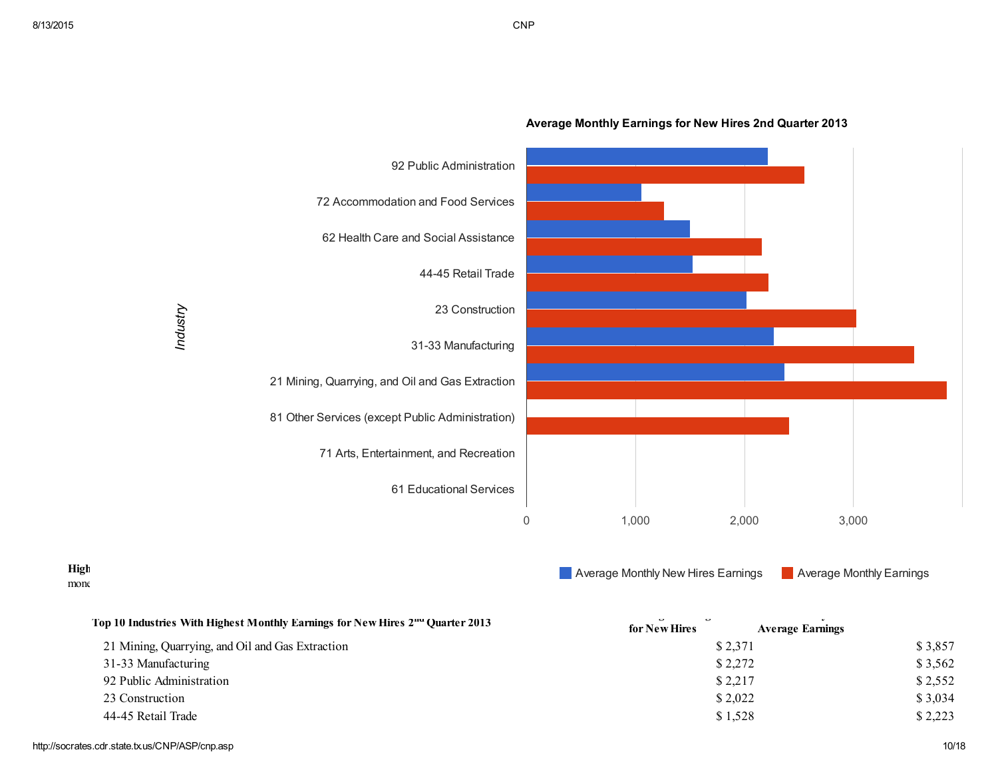

## Average Monthly Earnings for New Hires 2nd Quarter 2013

 $\mathbf{m}$ onegi $\mathbf{r}$ 

# **Example 20** Average Monthly New Hires Earnings **Containst Average Monthly New Hires Earnings**

| Top 10 Industries With Highest Monthly Earnings for New Hires 2 <sup>nd</sup> Quarter 2013 | $\overline{a}$<br>$\overline{a}$<br>for New Hires<br><b>Average Earnings</b> |         |
|--------------------------------------------------------------------------------------------|------------------------------------------------------------------------------|---------|
| 21 Mining, Quarrying, and Oil and Gas Extraction                                           | \$2,371                                                                      | \$3,857 |
| 31-33 Manufacturing                                                                        | \$2,272                                                                      | \$3,562 |
| 92 Public Administration                                                                   | \$2,217                                                                      | \$2,552 |
| 23 Construction                                                                            | \$2,022                                                                      | \$3,034 |
| 44-45 Retail Trade                                                                         | \$1,528                                                                      | \$2,223 |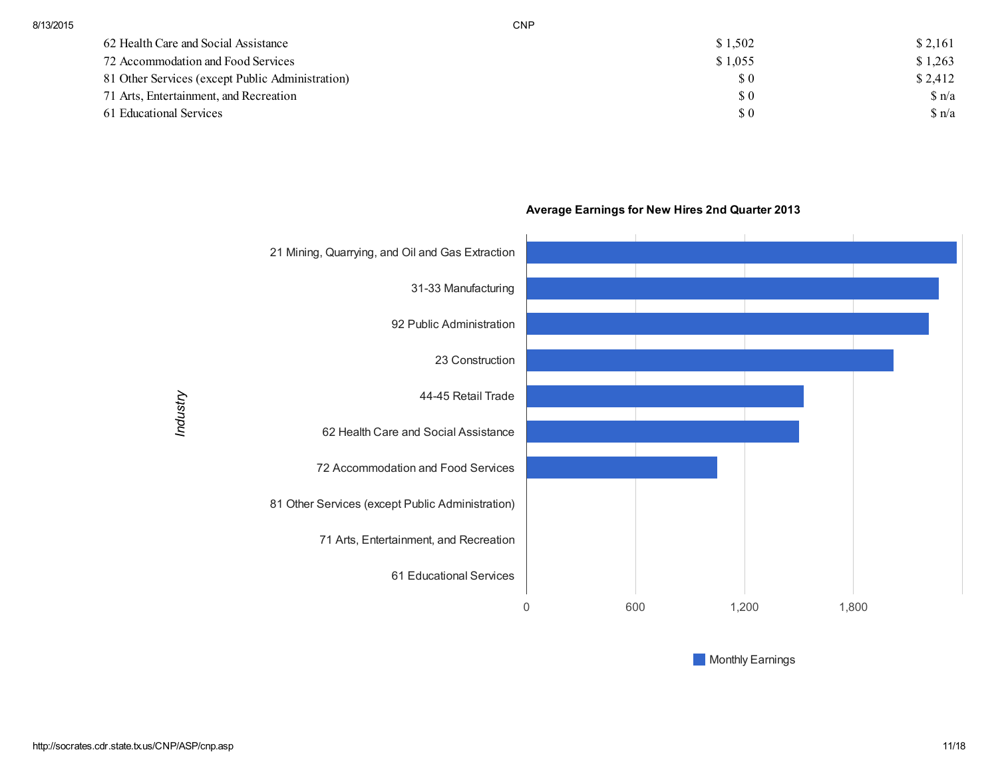| 62 Health Care and Social Assistance             | \$1,502                     | \$2,161       |
|--------------------------------------------------|-----------------------------|---------------|
| 72 Accommodation and Food Services               | \$1,055                     | \$1,263       |
| 81 Other Services (except Public Administration) | $\boldsymbol{\mathsf{S}}$ 0 | \$2,412       |
| 71 Arts, Entertainment, and Recreation           | $\boldsymbol{\mathsf{S}}$ 0 | $\sin^2$      |
| 61 Educational Services                          | $\Omega$                    | $\sin \alpha$ |
|                                                  |                             |               |



## Average Earnings for New Hires 2nd Quarter 2013

**Monthly Earnings**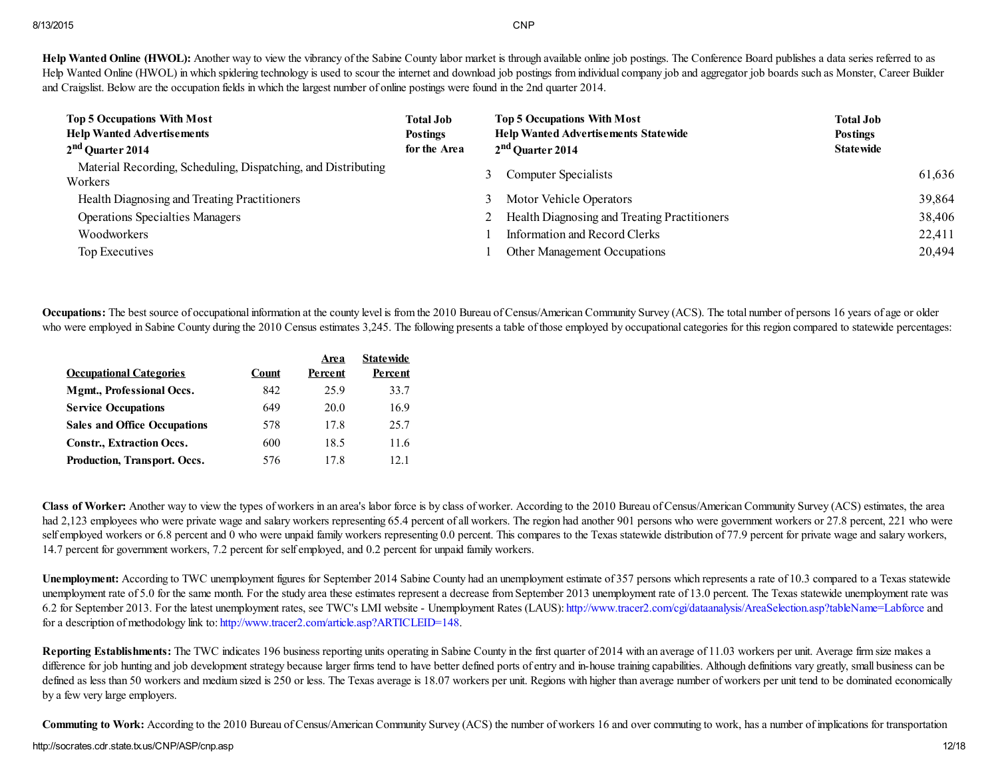Help Wanted Online (HWOL): Another way to view the vibrancy of the Sabine County labor market is through available online job postings. The Conference Board publishes a data series referred to as Help Wanted Online (HWOL) in which spidering technology is used to scour the internet and download job postings from individual company job and aggregator job boards such as Monster, Career Builder and Craigslist. Below are the occupation fields in which the largest number of online postings were found in the 2nd quarter 2014.

| <b>Top 5 Occupations With Most</b><br><b>Help Wanted Advertisements</b><br>2 <sup>nd</sup> Quarter 2014 | <b>Total Job</b><br><b>Postings</b><br>for the Area |   | <b>Top 5 Occupations With Most</b><br><b>Help Wanted Advertisements Statewide</b><br>2 <sup>nd</sup> Quarter 2014 | <b>Total Job</b><br><b>Postings</b><br><b>Statewide</b> |        |
|---------------------------------------------------------------------------------------------------------|-----------------------------------------------------|---|-------------------------------------------------------------------------------------------------------------------|---------------------------------------------------------|--------|
| Material Recording, Scheduling, Dispatching, and Distributing<br>Workers                                |                                                     |   | <b>Computer Specialists</b>                                                                                       |                                                         | 61,636 |
| Health Diagnosing and Treating Practitioners                                                            |                                                     | 3 | Motor Vehicle Operators                                                                                           |                                                         | 39,864 |
| <b>Operations Specialties Managers</b>                                                                  |                                                     |   | Health Diagnosing and Treating Practitioners                                                                      |                                                         | 38,406 |
| Woodworkers                                                                                             |                                                     |   | Information and Record Clerks                                                                                     |                                                         | 22,411 |
| Top Executives                                                                                          |                                                     |   | Other Management Occupations                                                                                      |                                                         | 20,494 |

Occupations: The best source of occupational information at the county level is from the 2010 Bureau of Census/American Community Survey (ACS). The total number of persons 16 years of age or older who were employed in Sabine County during the 2010 Census estimates 3,245. The following presents a table of those employed by occupational categories for this region compared to statewide percentages:

|                                     |       | Area    | <b>State wide</b> |
|-------------------------------------|-------|---------|-------------------|
| <b>Occupational Categories</b>      | Count | Percent | Percent           |
| <b>Mgmt., Professional Occs.</b>    | 842   | 25.9    | 33.7              |
| <b>Service Occupations</b>          | 649   | 20.0    | 16.9              |
| <b>Sales and Office Occupations</b> | 578   | 17.8    | 25.7              |
| <b>Constr., Extraction Occs.</b>    | 600   | 18.5    | 11.6              |
| Production, Transport. Occs.        | 576   | 178     | 12.1              |

Class of Worker: Another way to view the types of workers in an area's labor force is by class of worker. According to the 2010 Bureau of Census/American Community Survey (ACS) estimates, the area had 2,123 employees who were private wage and salary workers representing 65.4 percent of all workers. The region had another 901 persons who were government workers or 27.8 percent, 221 who were self employed workers or 6.8 percent and 0 who were unpaid family workers representing 0.0 percent. This compares to the Texas statewide distribution of 77.9 percent for private wage and salary workers, 14.7 percent for government workers, 7.2 percent for self employed, and 0.2 percent for unpaid family workers.

Unemployment: According to TWC unemployment figures for September 2014 Sabine County had an unemployment estimate of 357 persons which represents a rate of 10.3 compared to a Texas statewide unemployment rate of 5.0 for the same month. For the study area these estimates represent a decrease from September 2013 unemployment rate of 13.0 percent. The Texas statewide unemployment rate was 6.2 for September 2013. For the latest unemployment rates, see TWC's LMI website - Unemployment Rates (LAUS): <http://www.tracer2.com/cgi/dataanalysis/AreaSelection.asp?tableName=Labforce> and for a description of methodology link to: <http://www.tracer2.com/article.asp?ARTICLEID=148>.

Reporting Establishments: The TWC indicates 196 business reporting units operating in Sabine County in the first quarter of 2014 with an average of 11.03 workers per unit. Average firm size makes a difference for job hunting and job development strategy because larger firms tend to have better defined ports of entry and in-house training capabilities. Although definitions vary greatly, small business can be defined as less than 50 workers and medium sized is 250 or less. The Texas average is 18.07 workers per unit. Regions with higher than average number of workers per unit tend to be dominated economically by a few very large employers.

Commuting to Work: According to the 2010 Bureau of Census/American Community Survey (ACS) the number of workers 16 and over commuting to work, has a number of implications for transportation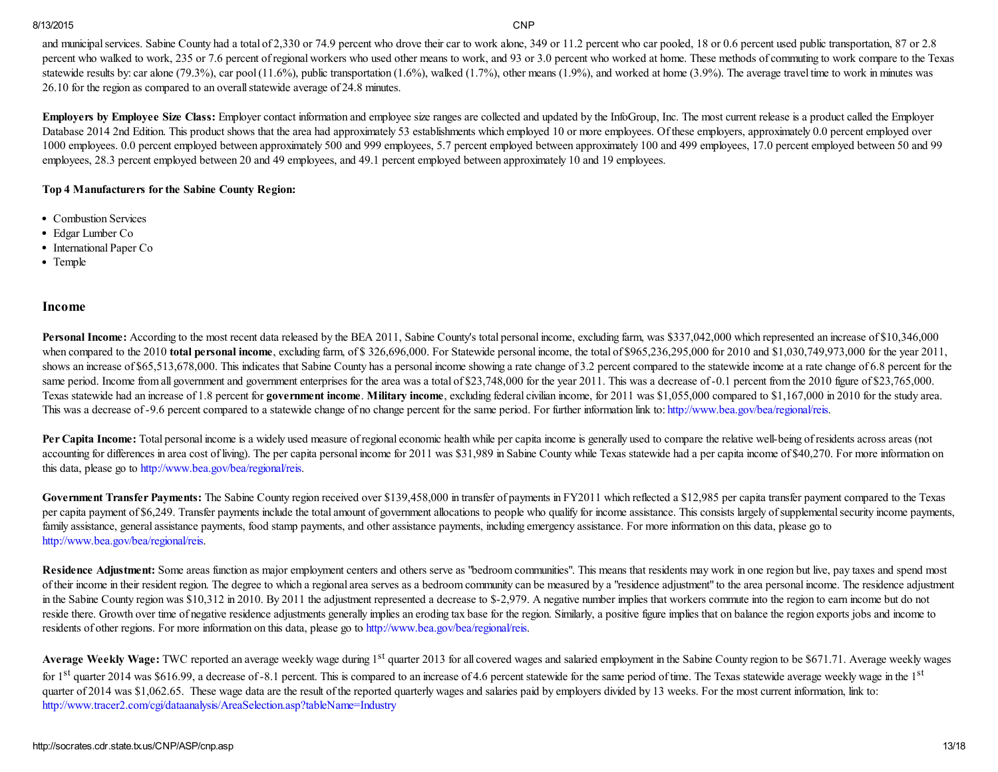and municipal services. Sabine County had a total of 2,330 or 74.9 percent who drove their car to work alone, 349 or 11.2 percent who car pooled, 18 or 0.6 percent used public transportation, 87 or 2.8 percent who walked to work, 235 or 7.6 percent of regional workers who used other means to work, and 93 or 3.0 percent who worked at home. These methods of commuting to work compare to the Texas statewide results by: car alone (79.3%), car pool  $(11.6\%)$ , public transportation  $(1.6\%)$ , walked  $(1.7\%)$ , other means  $(1.9\%)$ , and worked at home  $(3.9\%)$ . The average travel time to work in minutes was 26.10 for the region as compared to an overallstatewide average of 24.8 minutes.

Employers by Employee Size Class: Employer contact information and employee size ranges are collected and updated by the InfoGroup, Inc. The most current release is a product called the Employer Database 2014 2nd Edition. This product shows that the area had approximately 53 establishments which employed 10 or more employees. Of these employers, approximately 0.0 percent employed over 1000 employees. 0.0 percent employed between approximately 500 and 999 employees, 5.7 percent employed between approximately 100 and 499 employees, 17.0 percent employed between 50 and 99 employees, 28.3 percent employed between 20 and 49 employees, and 49.1 percent employed between approximately 10 and 19 employees.

## Top 4 Manufacturers for the Sabine County Region:

- Combustion Services
- Edgar Lumber Co
- International Paper Co
- Temple

### Income

Personal Income: According to the most recent data released by the BEA 2011, Sabine County's total personal income, excluding farm, was \$337,042,000 which represented an increase of \$10,346,000 when compared to the 2010 total personal income, excluding farm, of \$ 326,696,000. For Statewide personal income, the total of \$965,236,295,000 for 2010 and \$1,030,749,973,000 for the year 2011, shows an increase of \$65,513,678,000. This indicates that Sabine County has a personal income showing a rate change of 3.2 percent compared to the statewide income at a rate change of 6.8 percent for the same period. Income from all government and government enterprises for the area was a total of \$23,748,000 for the year 2011. This was a decrease of -0.1 percent from the 2010 figure of \$23,765,000. Texas statewide had an increase of 1.8 percent for government income. Military income, excluding federal civilian income, for 2011 was \$1,055,000 compared to \$1,167,000 in 2010 for the study area. This was a decrease of -9.6 percent compared to a statewide change of no change percent for the same period. For further information link to: <http://www.bea.gov/bea/regional/reis>.

Per Capita Income: Total personal income is a widely used measure of regional economic health while per capita income is generally used to compare the relative well-being of residents across areas (not accounting for differences in area cost of living). The per capita personal income for 2011 was \$31,989 in Sabine County while Texas statewide had a per capita income of \$40,270. For more information on this data, please go to <http://www.bea.gov/bea/regional/reis>.

Government Transfer Payments: The Sabine County region received over \$139,458,000 in transfer of payments in FY2011 which reflected a \$12,985 per capita transfer payment compared to the Texas per capita payment of \$6,249. Transfer payments include the total amount of government allocations to people who qualify for income assistance. This consists largely of supplemental security income payments, family assistance, general assistance payments, food stamp payments, and other assistance payments, including emergency assistance. For more information on this data, please go to <http://www.bea.gov/bea/regional/reis>.

Residence Adjustment: Some areas function as major employment centers and others serve as "bedroom communities". This means that residents may work in one region but live, pay taxes and spend most of their income in their resident region. The degree to which a regional area serves as a bedroom community can be measured by a "residence adjustment" to the area personal income. The residence adjustment in the Sabine County region was \$10,312 in 2010. By 2011 the adjustment represented a decrease to \$-2,979. A negative number implies that workers commute into the region to earn income but do not reside there. Growth over time of negative residence adjustments generally implies an eroding tax base for the region. Similarly, a positive figure implies that on balance the region exports jobs and income to residents of other regions. For more information on this data, please go to <http://www.bea.gov/bea/regional/reis>.

Average Weekly Wage: TWC reported an average weekly wage during 1<sup>st</sup> quarter 2013 for all covered wages and salaried employment in the Sabine County region to be \$671.71. Average weekly wages for 1<sup>st</sup> quarter 2014 was \$616.99, a decrease of -8.1 percent. This is compared to an increase of 4.6 percent statewide for the same period of time. The Texas statewide average weekly wage in the 1<sup>st</sup> quarter of 2014 was \$1,062.65. These wage data are the result of the reported quarterly wages and salaries paid by employers divided by 13 weeks. For the most current information, link to: <http://www.tracer2.com/cgi/dataanalysis/AreaSelection.asp?tableName=Industry>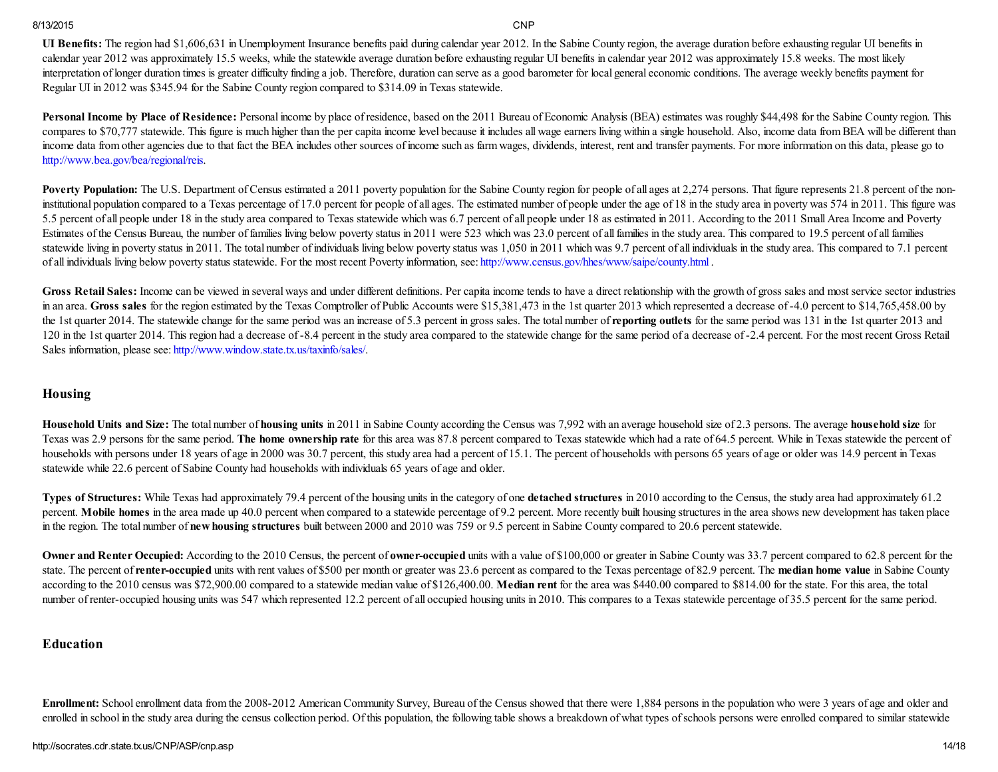UI Benefits: The region had \$1,606,631 in Unemployment Insurance benefits paid during calendar year 2012. In the Sabine County region, the average duration before exhausting regular UI benefits in calendar year 2012 was approximately 15.5 weeks, while the statewide average duration before exhausting regular UI benefits in calendar year 2012 was approximately 15.8 weeks. The most likely interpretation of longer duration times is greater difficulty finding a job. Therefore, duration can serve as a good barometer for local general economic conditions. The average weekly benefits payment for Regular UI in 2012 was \$345.94 for the Sabine County region compared to \$314.09 in Texas statewide.

Personal Income by Place of Residence: Personal income by place of residence, based on the 2011 Bureau of Economic Analysis (BEA) estimates was roughly \$44,498 for the Sabine County region. This compares to \$70,777 statewide. This figure is much higher than the per capita income level because it includes all wage earners living within a single household. Also, income data from BEA will be different than income data from other agencies due to that fact the BEA includes other sources of income such as farm wages, dividends, interest, rent and transfer payments. For more information on this data, please go to <http://www.bea.gov/bea/regional/reis>.

Poverty Population: The U.S. Department of Census estimated a 2011 poverty population for the Sabine County region for people of all ages at 2,274 persons. That figure represents 21.8 percent of the noninstitutional population compared to a Texas percentage of 17.0 percent for people of all ages. The estimated number of people under the age of 18 in the study area in poverty was 574 in 2011. This figure was 5.5 percent of all people under 18 in the study area compared to Texas statewide which was 6.7 percent of all people under 18 as estimated in 2011. According to the 2011 Small Area Income and Poverty Estimates of the Census Bureau, the number of families living below poverty status in 2011 were 523 which was 23.0 percent of allfamilies in the study area. This compared to 19.5 percent of allfamilies statewide living in poverty status in 2011. The total number of individuals living below poverty status was 1,050 in 2011 which was 9.7 percent of all individuals in the study area. This compared to 7.1 percent of all individuals living below poverty status statewide. For the most recent Poverty information, see: <http://www.census.gov/hhes/www/saipe/county.html> .

Gross Retail Sales: Income can be viewed in several ways and under different definitions. Per capita income tends to have a direct relationship with the growth of gross sales and most service sector industries in an area. Gross sales for the region estimated by the Texas Comptroller of Public Accounts were \$15,381,473 in the 1st quarter 2013 which represented a decrease of -4.0 percent to \$14,765,458.00 by the 1st quarter 2014. The statewide change for the same period was an increase of 5.3 percent in gross sales. The total number of reporting outlets for the same period was 131 in the 1st quarter 2013 and 120 in the 1st quarter 2014. This region had a decrease of -8.4 percent in the study area compared to the statewide change for the same period of a decrease of -2.4 percent. For the most recent Gross Retail Sales information, please see: [http://www.window.state.tx.us/taxinfo/sales/.](http://www.window.state.tx.us/taxinfo/sales/)

## Housing

Household Units and Size: The total number of housing units in 2011 in Sabine County according the Census was 7,992 with an average household size of 2.3 persons. The average household size for Texas was 2.9 persons for the same period. The home ownership rate for this area was 87.8 percent compared to Texas statewide which had a rate of 64.5 percent. While in Texas statewide the percent of households with persons under 18 years of age in 2000 was 30.7 percent, this study area had a percent of 15.1. The percent of households with persons 65 years of age or older was 14.9 percent in Texas statewide while 22.6 percent of Sabine County had households with individuals 65 years of age and older.

Types of Structures: While Texas had approximately 79.4 percent of the housing units in the category of one detached structures in 2010 according to the Census, the study area had approximately 61.2 percent. Mobile homes in the area made up 40.0 percent when compared to a statewide percentage of 9.2 percent. More recently built housing structures in the area shows new development has taken place in the region. The total number of new housing structures built between 2000 and 2010 was 759 or 9.5 percent in Sabine County compared to 20.6 percent statewide.

Owner and Renter Occupied: According to the 2010 Census, the percent of owner-occupied units with a value of \$100,000 or greater in Sabine County was 33.7 percent compared to 62.8 percent for the state. The percent of renter-occupied units with rent values of \$500 per month or greater was 23.6 percent as compared to the Texas percentage of 82.9 percent. The median home value in Sabine County according to the 2010 census was \$72,900.00 compared to a statewide median value of \$126,400.00. Median rent for the area was \$440.00 compared to \$814.00 for the state. For this area, the total number of renter-occupied housing units was 547 which represented 12.2 percent of all occupied housing units in 2010. This compares to a Texas statewide percentage of 35.5 percent for the same period.

## Education

Enrollment: School enrollment data from the 2008-2012 American Community Survey, Bureau of the Census showed that there were 1,884 persons in the population who were 3 years of age and older and enrolled in school in the study area during the census collection period. Of this population, the following table shows a breakdown of what types of schools persons were enrolled compared to similar statewide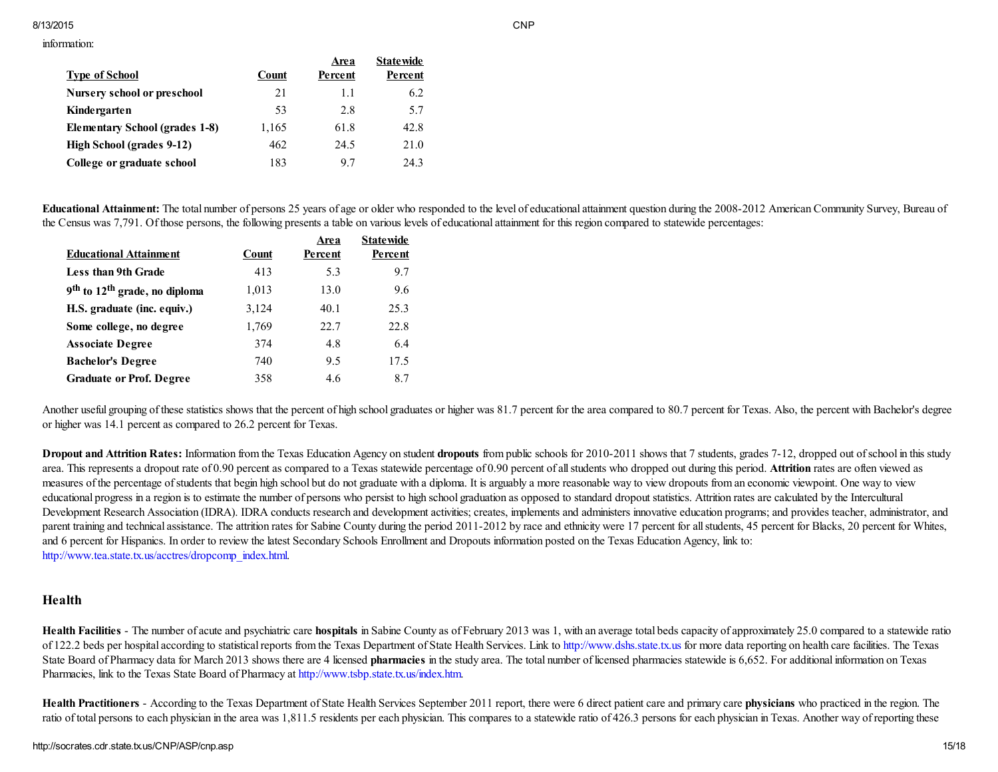#### information:

|                                    |       | Area    | <b>Statewide</b> |
|------------------------------------|-------|---------|------------------|
| <b>Type of School</b>              | Count | Percent | Percent          |
| <b>Nursery school or preschool</b> | 21    | 1.1     | 6.2              |
| Kindergarten                       | 53    | 2.8     | 5.7              |
| Elementary School (grades 1-8)     | 1,165 | 61.8    | 42.8             |
| High School (grades 9-12)          | 462   | 24.5    | 21.0             |
| College or graduate school         | 183   | 97      | 243              |

Educational Attainment: The total number of persons 25 years of age or older who responded to the level of educational attainment question during the 2008-2012 American Community Survey, Bureau of the Census was 7,791. Of those persons, the following presents a table on various levels of educational attainment for this region compared to statewide percentages:

|                                                       |       | Area    | <b>Statewide</b> |
|-------------------------------------------------------|-------|---------|------------------|
| <b>Educational Attainment</b>                         | Count | Percent | Percent          |
| <b>Less than 9th Grade</b>                            | 413   | 5.3     | 9.7              |
| 9 <sup>th</sup> to 12 <sup>th</sup> grade, no diploma | 1,013 | 13.0    | 9.6              |
| H.S. graduate (inc. equiv.)                           | 3,124 | 40.1    | 25.3             |
| Some college, no degree                               | 1,769 | 22.7    | 22.8             |
| <b>Associate Degree</b>                               | 374   | 4.8     | 6.4              |
| <b>Bachelor's Degree</b>                              | 740   | 9.5     | 17.5             |
| <b>Graduate or Prof. Degree</b>                       | 358   | 4.6     | 8.7              |

Another useful grouping of these statistics shows that the percent of high school graduates or higher was 81.7 percent for the area compared to 80.7 percent for Texas. Also, the percent with Bachelor's degree or higher was 14.1 percent as compared to 26.2 percent for Texas.

Dropout and Attrition Rates: Information from the Texas Education Agency on student dropouts from public schools for 2010-2011 shows that 7 students, grades 7-12, dropped out of school in this study area. This represents a dropout rate of 0.90 percent as compared to a Texas statewide percentage of 0.90 percent of all students who dropped out during this period. Attrition rates are often viewed as measures of the percentage of students that begin high school but do not graduate with a diploma. It is arguably a more reasonable way to view dropouts from an economic viewpoint. One way to view educational progress in a region is to estimate the number of persons who persist to high school graduation as opposed to standard dropout statistics. Attrition rates are calculated by the Intercultural Development Research Association (IDRA). IDRA conducts research and development activities; creates, implements and administers innovative education programs; and provides teacher, administrator, and parent training and technical assistance. The attrition rates for Sabine County during the period 2011-2012 by race and ethnicity were 17 percent for all students, 45 percent for Blacks, 20 percent for Whites, and 6 percent for Hispanics. In order to review the latest Secondary Schools Enrollment and Dropouts information posted on the Texas Education Agency, link to: [http://www.tea.state.tx.us/acctres/dropcomp\\_index.html.](http://www.tea.state.tx.us/acctres/dropcomp_index.html)

## Health

Health Facilities - The number of acute and psychiatric care hospitals in Sabine County as of February 2013 was 1, with an average total beds capacity of approximately 25.0 compared to a statewide ratio of 122.2 beds per hospital according to statistical reports from the Texas Department of State Health Services. Link to [http://www.dshs.state.tx.us](http://www.dshs.state.tx.us/) for more data reporting on health care facilities. The Texas State Board of Pharmacy data for March 2013 shows there are 4 licensed **pharmacies** in the study area. The total number of licensed pharmacies statewide is 6,652. For additional information on Texas Pharmacies, link to the Texas State Board of Pharmacy at [http://www.tsbp.state.tx.us/index.htm.](http://www.tsbp.state.tx.us/index.htm)

Health Practitioners - According to the Texas Department of State Health Services September 2011 report, there were 6 direct patient care and primary care physicians who practiced in the region. The ratio of total persons to each physician in the area was 1,811.5 residents per each physician. This compares to a statewide ratio of 426.3 persons for each physician in Texas. Another way of reporting these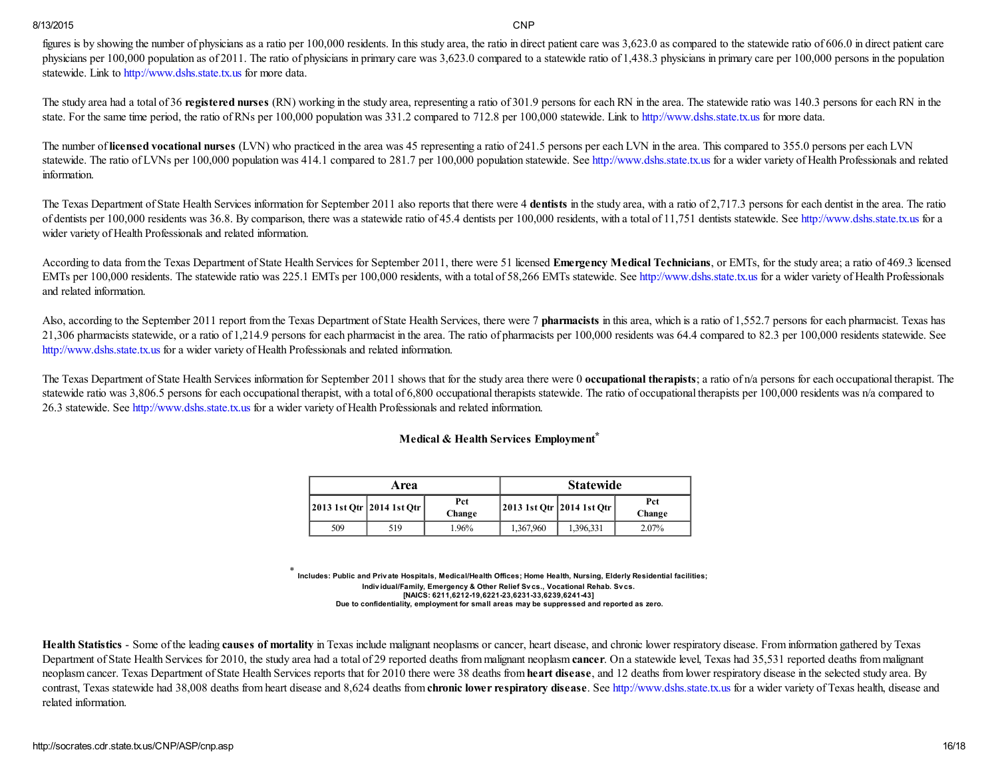figures is by showing the number of physicians as a ratio per 100,000 residents. In this study area, the ratio in direct patient care was 3,623.0 as compared to the statewide ratio of 606.0 in direct patient care physicians per 100,000 population as of 2011. The ratio of physicians in primary care was 3,623.0 compared to a statewide ratio of 1,438.3 physicians in primary care per 100,000 persons in the population statewide. Link to [http://www.dshs.state.tx.us](http://www.dshs.state.tx.us/) for more data.

The study area had a total of 36 registered nurses (RN) working in the study area, representing a ratio of 301.9 persons for each RN in the area. The statewide ratio was 140.3 persons for each RN in the state. For the same time period, the ratio of RNs per 100,000 population was 331.2 compared to 712.8 per 100,000 statewide. Link to [http://www.dshs.state.tx.us](http://www.dshs.state.tx.us/) for more data.

The number of licensed vocational nurses (LVN) who practiced in the area was 45 representing a ratio of 241.5 persons per each LVN in the area. This compared to 355.0 persons per each LVN statewide. The ratio of LVNs per 100,000 population was 414.1 compared to 281.7 per 100,000 population statewide. See [http://www.dshs.state.tx.us](http://www.dshs.state.tx.us/) for a wider variety of Health Professionals and related information.

The Texas Department of State Health Services information for September 2011 also reports that there were 4 dentists in the study area, with a ratio of 2,717.3 persons for each dentist in the area. The ratio of dentists per 100,000 residents was 36.8. By comparison, there was a statewide ratio of 45.4 dentists per 100,000 residents, with a total of 11,751 dentists statewide. See [http://www.dshs.state.tx.us](http://www.dshs.state.tx.us/) for a wider variety of Health Professionals and related information.

According to data from the Texas Department of State Health Services for September 2011, there were 51 licensed Emergency Medical Technicians, or EMTs, for the study area; a ratio of 469.3 licensed EMTs per 100,000 residents. The statewide ratio was 225.1 EMTs per 100,000 residents, with a total of 58,266 EMTs statewide. See [http://www.dshs.state.tx.us](http://www.dshs.state.tx.us/) for a wider variety of Health Professionals and related information.

Also, according to the September 2011 report from the Texas Department of State Health Services, there were 7 **pharmacists** in this area, which is a ratio of 1,552.7 persons for each pharmacist. Texas has 21,306 pharmacists statewide, or a ratio of 1,214.9 persons for each pharmacist in the area. The ratio of pharmacists per 100,000 residents was 64.4 compared to 82.3 per 100,000 residents statewide. See [http://www.dshs.state.tx.us](http://www.dshs.state.tx.us/) for a wider variety of Health Professionals and related information.

The Texas Department of State Health Services information for September 2011 shows that for the study area there were 0 occupational therapists; a ratio of n/a persons for each occupational therapist. The statewide ratio was 3,806.5 persons for each occupational therapist, with a total of 6,800 occupational therapists statewide. The ratio of occupational therapists per 100,000 residents was n/a compared to 26.3 statewide. See [http://www.dshs.state.tx.us](http://www.dshs.state.tx.us/) for a wider variety of Health Professionals and related information.

# Medical & Health Services Employment \*

|                             | Area |               | <b>Statewide</b>            |           |                      |  |
|-----------------------------|------|---------------|-----------------------------|-----------|----------------------|--|
| 2013 1st Qtr   2014 1st Qtr |      | Pct<br>Change | 2013 1st Qtr   2014 1st Qtr |           | <b>Pct</b><br>Change |  |
| 509                         | 519  | 1.96%         | 1,367,960                   | 1,396,331 | $2.07\%$             |  |

\* Includes: Public and Private Hospitals, Medical/Health Offices; Home Health, Nursing, Elderly Residential facilities; Individual/Family, Emergency & Other Relief Svcs., Vocational Rehab. Svcs. [NAICS: 6211,6212-19,6221-23,6231-33,6239,6241-43] Due to confidentiality, employment for small areas may be suppressed and reported as zero.

Health Statistics - Some of the leading causes of mortality in Texas include malignant neoplasms or cancer, heart disease, and chronic lower respiratory disease. From information gathered by Texas Department of State Health Services for 2010, the study area had a total of 29 reported deaths from malignant neoplasm cancer. On a statewide level, Texas had 35,531 reported deaths from malignant neoplasm cancer. Texas Department of State Health Services reports that for 2010 there were 38 deaths from heart disease, and 12 deaths from lower respiratory disease in the selected study area. By contrast, Texas statewide had 38,008 deaths from heart disease and 8,624 deaths from chronic lower respiratory disease. See [http://www.dshs.state.tx.us](http://www.dshs.state.tx.us/) for a wider variety of Texas health, disease and related information.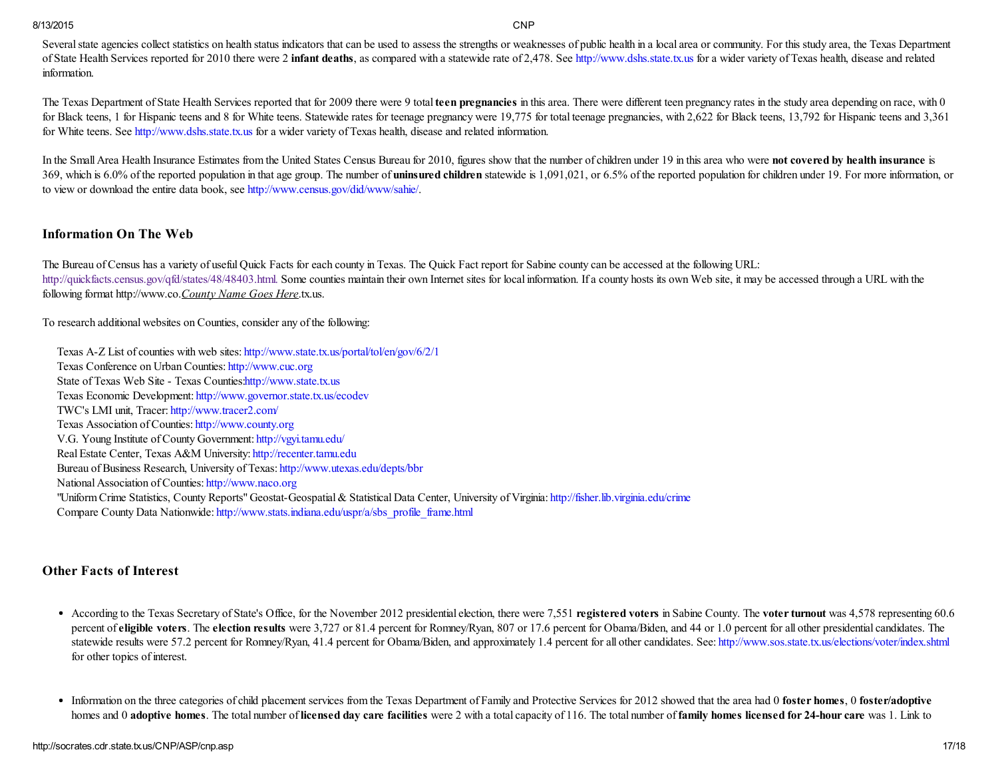Several state agencies collect statistics on health status indicators that can be used to assess the strengths or weaknesses of public health in a local area or community. For this study area, the Texas Department of State Health Services reported for 2010 there were 2 infant deaths, as compared with a statewide rate of 2,478. See [http://www.dshs.state.tx.us](http://www.dshs.state.tx.us/) for a wider variety of Texas health, disease and related information.

The Texas Department of State Health Services reported that for 2009 there were 9 total teen pregnancies in this area. There were different teen pregnancy rates in the study area depending on race, with 0 for Black teens, 1 for Hispanic teens and 8 for White teens. Statewide rates for teenage pregnancy were 19,775 for total teenage pregnancies, with 2,622 for Black teens, 13,792 for Hispanic teens and 3,361 for White teens. See [http://www.dshs.state.tx.us](http://www.dshs.state.tx.us/) for a wider variety of Texas health, disease and related information.

In the Small Area Health Insurance Estimates from the United States Census Bureau for 2010, figures show that the number of children under 19 in this area who were not covered by health insurance is 369, which is 6.0% of the reported population in that age group. The number of uninsured children statewide is 1,091,021, or 6.5% of the reported population for children under 19. For more information, or to view or download the entire data book, see <http://www.census.gov/did/www/sahie/>.

# Information On The Web

The Bureau of Census has a variety of useful Quick Facts for each county in Texas. The Quick Fact report for Sabine county can be accessed at the following URL: [http://quickfacts.census.gov/qfd/states/48/48403.html.](http://quickfacts.census.gov/qfd/states/48/48403.html) Some counties maintain their own Internet sites for local information. If a county hosts its own Web site, it may be accessed through a URL with the following format http://www.co.*County Name Goes Here*.tx.us.

To research additional websites on Counties, consider any of the following:

Texas A-Z List of counties with web sites: <http://www.state.tx.us/portal/tol/en/gov/6/2/1> Texas Conference on Urban Counties: [http://www.cuc.org](http://www.cuc.org/) State of Texas Web Site - Texas Counties: http://www.state.tx.us Texas Economic Development: <http://www.governor.state.tx.us/ecodev> TWC's LMI unit, Tracer: <http://www.tracer2.com/> Texas Association of Counties: [http://www.county.org](http://www.county.org/) V.G. Young Institute of County Government: <http://vgyi.tamu.edu/> Real Estate Center, Texas A&M University: [http://recenter.tamu.edu](http://recenter.tamu.edu/) Bureau of Business Research, University of Texas: <http://www.utexas.edu/depts/bbr> National Association of Counties: [http://www.naco.org](http://www.naco.org/) "Uniform Crime Statistics, County Reports" Geostat-Geospatial & Statistical Data Center, University of Virginia: <http://fisher.lib.virginia.edu/crime> Compare County Data Nationwide: [http://www.stats.indiana.edu/uspr/a/sbs\\_profile\\_frame.html](http://www.stats.indiana.edu/uspr/a/sbs_profile_frame.html)

# Other Facts of Interest

- According to the Texas Secretary of State's Office, for the November 2012 presidential election, there were 7,551 registered voters in Sabine County. The voter turnout was 4,578 representing 60.6 percent of eligible voters. The election results were 3,727 or 81.4 percent for Romney/Ryan, 807 or 17.6 percent for Obama/Biden, and 44 or 1.0 percent for all other presidential candidates. The statewide results were 57.2 percent for Romney/Ryan, 41.4 percent for Obama/Biden, and approximately 1.4 percent for all other candidates. See: <http://www.sos.state.tx.us/elections/voter/index.shtml> for other topics of interest.
- Information on the three categories of child placement services from the Texas Department of Family and Protective Services for 2012 showed that the area had 0 foster homes, 0 foster/adoptive  $\bullet$ homes and 0 adoptive homes. The total number of licensed day care facilities were 2 with a total capacity of 116. The total number of family homes licensed for 24-hour care was 1. Link to